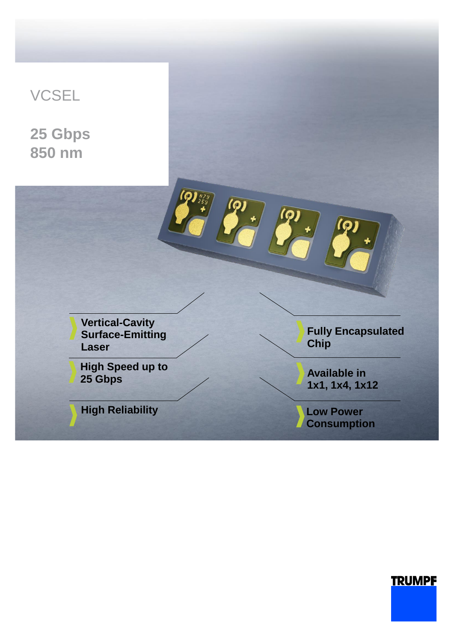# **VCSEL**

**25 Gbps 850 nm**



## **TRUMPF**